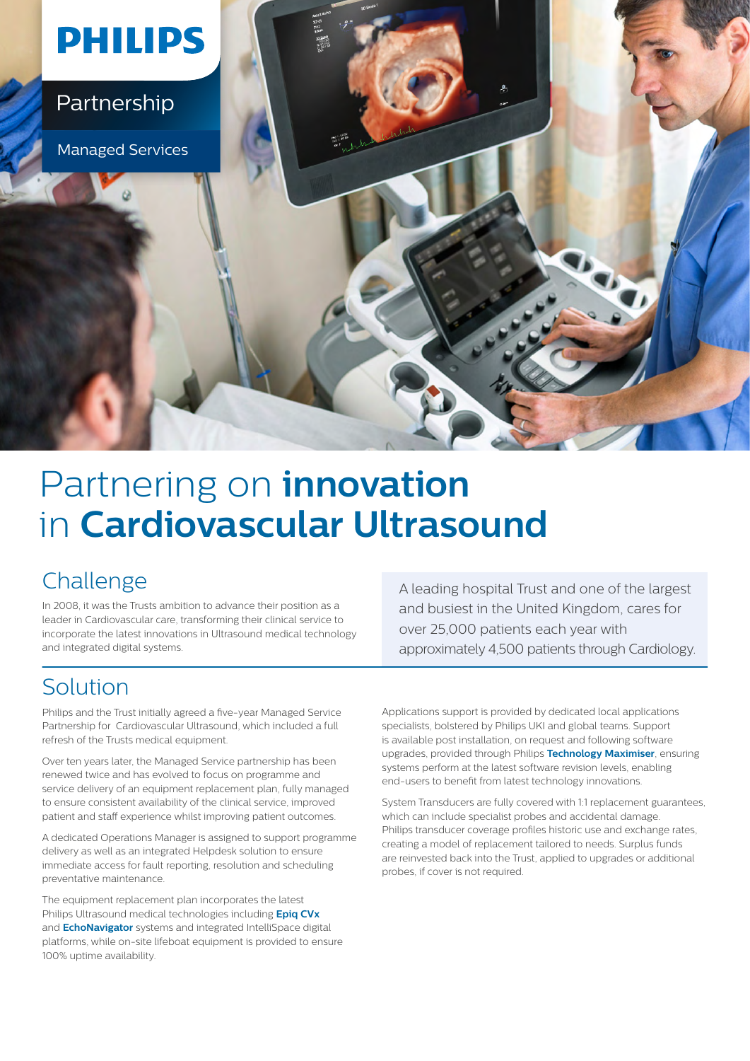

# Partnering on **innovation** in **Cardiovascular Ultrasound**

### Challenge

In 2008, it was the Trusts ambition to advance their position as a leader in Cardiovascular care, transforming their clinical service to incorporate the latest innovations in Ultrasound medical technology and integrated digital systems.

A leading hospital Trust and one of the largest and busiest in the United Kingdom, cares for over 25,000 patients each year with approximately 4,500 patients through Cardiology.

### Solution

Philips and the Trust initially agreed a five-year Managed Service Partnership for Cardiovascular Ultrasound, which included a full refresh of the Trusts medical equipment.

Over ten years later, the Managed Service partnership has been renewed twice and has evolved to focus on programme and service delivery of an equipment replacement plan, fully managed to ensure consistent availability of the clinical service, improved patient and staff experience whilst improving patient outcomes.

A dedicated Operations Manager is assigned to support programme delivery as well as an integrated Helpdesk solution to ensure immediate access for fault reporting, resolution and scheduling preventative maintenance.

The equipment replacement plan incorporates the latest Philips Ultrasound medical technologies including **[Epiq CVx](https://www.philips.co.uk/healthcare/product/HC795231/epiq-cvx-premium-cardiology-ultrasound-system)** and **[EchoNavigator](https://www.philips.co.uk/healthcare/product/HCOPT08/echonavigator-live-echo-and-live-x-ray-fusion-tool/supplies)** systems and integrated IntelliSpace digital platforms, while on-site lifeboat equipment is provided to ensure 100% uptime availability.

Applications support is provided by dedicated local applications specialists, bolstered by Philips UKI and global teams. Support is available post installation, on request and following software upgrades, provided through Philips **[Technology Maximiser](https://www.philips.co.uk/healthcare/services/lifecycle-services/technology-maximizer)**, ensuring systems perform at the latest software revision levels, enabling end-users to benefit from latest technology innovations.

System Transducers are fully covered with 1:1 replacement guarantees, which can include specialist probes and accidental damage. Philips transducer coverage profiles historic use and exchange rates, creating a model of replacement tailored to needs. Surplus funds are reinvested back into the Trust, applied to upgrades or additional probes, if cover is not required.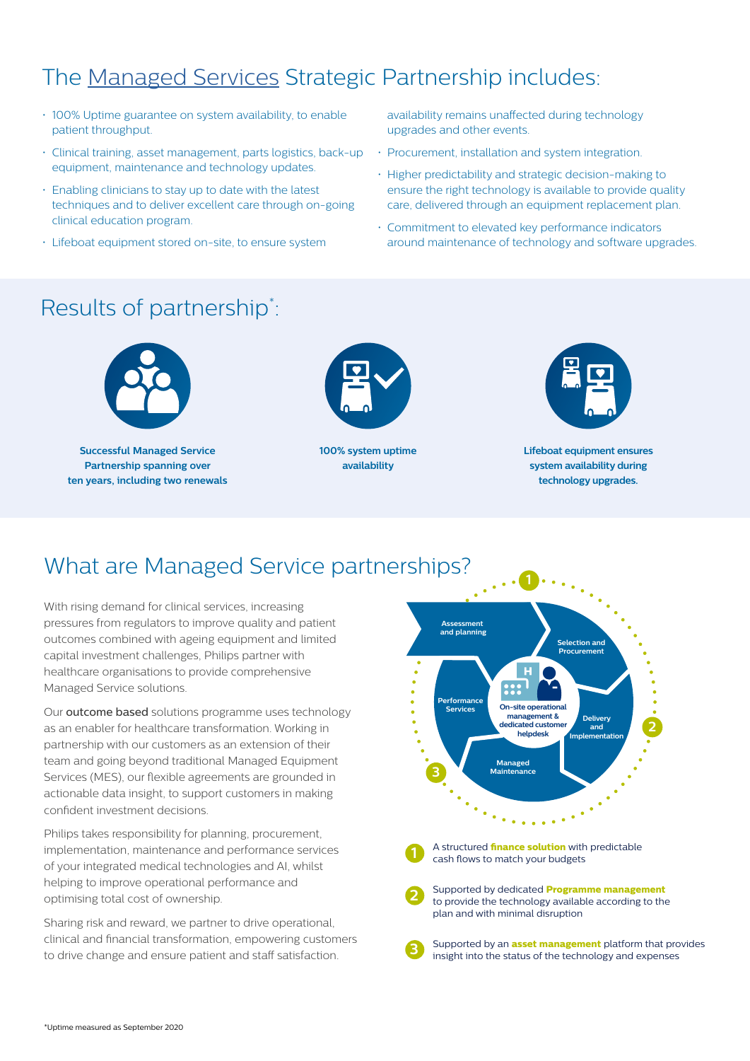## The [Managed Services](https://www.philips.co.uk/healthcare/medical-products/partnerships/managed-services) Strategic Partnership includes:

- 100% Uptime guarantee on system availability, to enable patient throughput.
- Clinical training, asset management, parts logistics, back-up equipment, maintenance and technology updates.
- Enabling clinicians to stay up to date with the latest techniques and to deliver excellent care through on-going clinical education program.
- Lifeboat equipment stored on-site, to ensure system

availability remains unaffected during technology upgrades and other events.

- Procurement, installation and system integration.
- Higher predictability and strategic decision-making to ensure the right technology is available to provide quality care, delivered through an equipment replacement plan.
- Commitment to elevated key performance indicators around maintenance of technology and software upgrades.

### Results of partnership\* :



**Successful Managed Service Partnership spanning over ten years, including two renewals**



**100% system uptime availability** 



**Lifeboat equipment ensures system availability during technology upgrades.**

### What are Managed Service partnerships?

With rising demand for clinical services, increasing pressures from regulators to improve quality and patient outcomes combined with ageing equipment and limited capital investment challenges, Philips partner with healthcare organisations to provide comprehensive Managed Service solutions.

Our outcome based solutions programme uses technology as an enabler for healthcare transformation. Working in partnership with our customers as an extension of their team and going beyond traditional Managed Equipment Services (MES), our flexible agreements are grounded in actionable data insight, to support customers in making confident investment decisions.

Philips takes responsibility for planning, procurement, implementation, maintenance and performance services of your integrated medical technologies and AI, whilst helping to improve operational performance and optimising total cost of ownership.

Sharing risk and reward, we partner to drive operational, clinical and financial transformation, empowering customers to drive change and ensure patient and staff satisfaction.





**2**

A structured **finance solution** with A structured **finance solution** with predictable **1** A structured **niance solution** with predictable cash flows to match your budgets

Supported by dedicated **Programme management** plan and with minimal disruption to provide the technology available according to the

Supported by an **asset management** platform that provides **3** Supported by an **asset management** platform that proported by an **asset management** platform that pro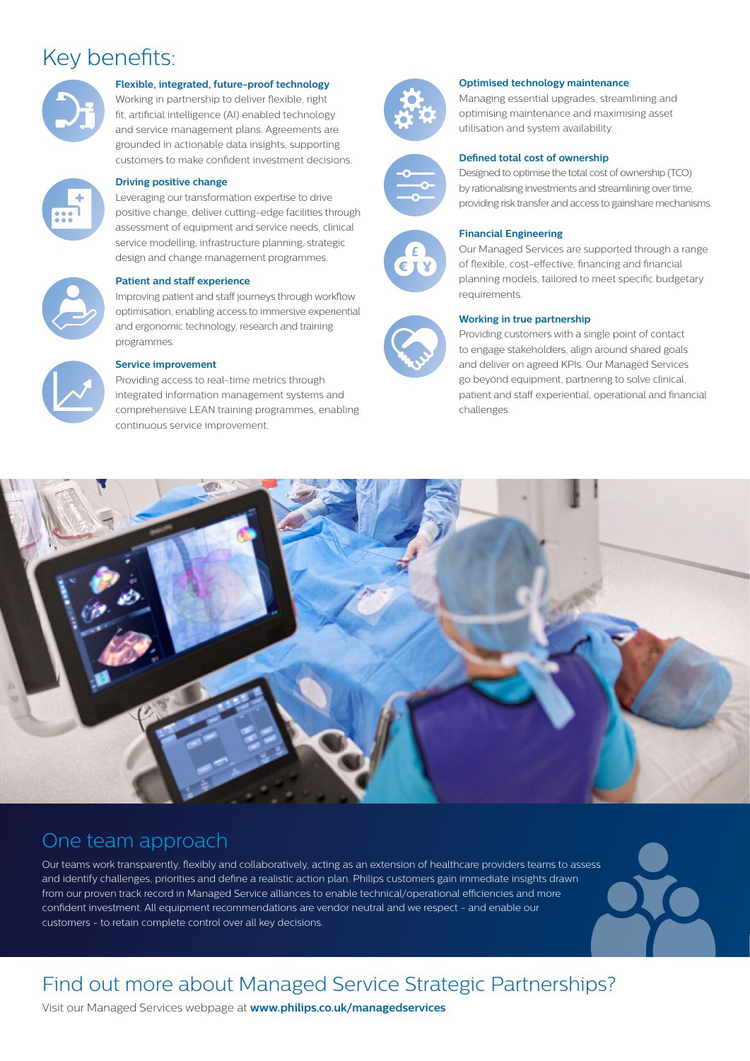### Key benefits:



#### **Flexible, integrated, future-proof technology**

Working in partnership to deliver flexible, right fit, artificial intelligence (AI) enabled technology and service management plans. Agreements are grounded in actionable data insights, supporting customers to make confident investment decisions.



#### **Driving positive change**

Leveraging our transformation expertise to drive positive change, deliver cutting-edge facilities through assessment of equipment and service needs, clinical service modelling, infrastructure planning, strategic design and change management programmes.

#### **Patient and staff experience**

Improving patient and staff journeys through workflow optimisation, enabling access to immersive experiential and ergonomic technology, research and training programmes.



#### **Service improvement**

Providing access to real-time metrics through integrated information management systems and comprehensive LEAN training programmes, enabling continuous service improvement.



#### **Optimised technology maintenance**

Managing essential upgrades, streamlining and optimising maintenance and maximising asset utilisation and system availability.





#### Designed to optimise the total cost of ownership (TCO)

**Defined total cost of ownership**

by rationalising investments and streamlining over time, providing risk transfer and access to gainshare mechanisms.



#### **Financial Engineering**

Our Managed Services are supported through a range of flexible, cost-effective, financing and financial planning models, tailored to meet specific budgetary requirements.

#### **Working in true partnership**

Providing customers with a single point of contact to engage stakeholders, align around shared goals and deliver on agreed KPIs. Our Managed Services go beyond equipment, partnering to solve clinical, patient and staff experiential, operational and financial challenges.



### One team approach

Our teams work transparently, flexibly and collaboratively, acting as an extension of healthcare providers teams to assess and identify challenges, priorities and define a realistic action plan. Philips customers gain immediate insights drawn from our proven track record in Managed Service alliances to enable technical/operational efficiencies and more confident investment. All equipment recommendations are vendor neutral and we respect - and enable our customers - to retain complete control over all key decisions.

### Find out more about Managed Service Strategic Partnerships?

Visit our Managed Services webpage at **[www.philips.co.uk/managedservices](http://www.philips.co.uk/managedservices)**